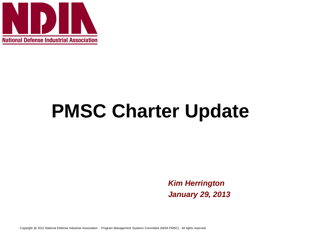

## **PMSC Charter Update**

*Kim Herrington January 29, 2013*

Copyright @ 2012 National Defense Industrial Association - Program Management Systems Committee (NDIA PMSC). All rights reserved.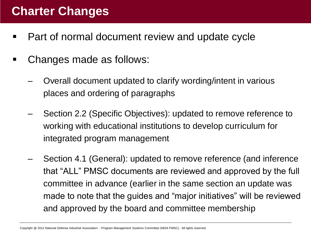## **Charter Changes**

- Part of normal document review and update cycle
- Changes made as follows:
	- Overall document updated to clarify wording/intent in various places and ordering of paragraphs
	- Section 2.2 (Specific Objectives): updated to remove reference to working with educational institutions to develop curriculum for integrated program management
	- Section 4.1 (General): updated to remove reference (and inference that "ALL" PMSC documents are reviewed and approved by the full committee in advance (earlier in the same section an update was made to note that the guides and "major initiatives" will be reviewed and approved by the board and committee membership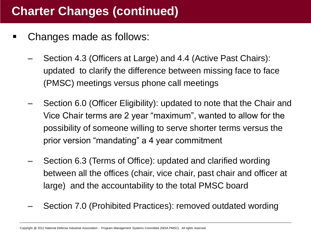- Changes made as follows:
	- Section 4.3 (Officers at Large) and 4.4 (Active Past Chairs): updated to clarify the difference between missing face to face (PMSC) meetings versus phone call meetings
	- Section 6.0 (Officer Eligibility): updated to note that the Chair and Vice Chair terms are 2 year "maximum", wanted to allow for the possibility of someone willing to serve shorter terms versus the prior version "mandating" a 4 year commitment
	- Section 6.3 (Terms of Office): updated and clarified wording between all the offices (chair, vice chair, past chair and officer at large) and the accountability to the total PMSC board
	- Section 7.0 (Prohibited Practices): removed outdated wording